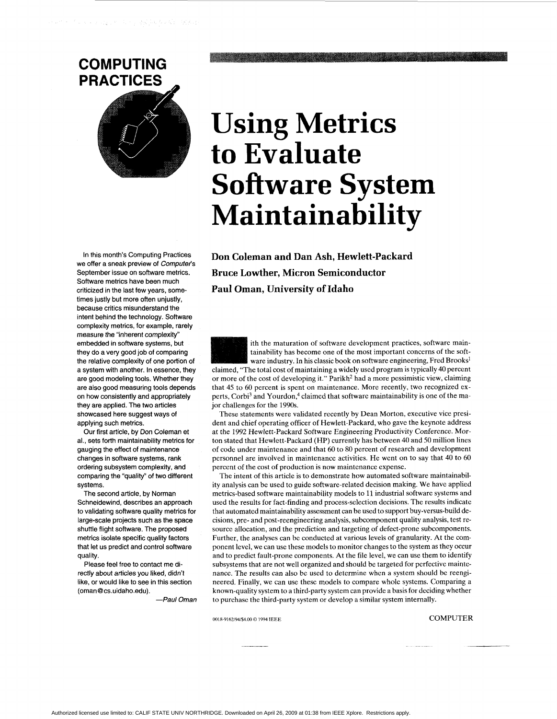

# **Using Metrics to Evaluate Software System Maint ainabilitv**  *J*

**Don Coleman and Dan Ash, Hewlett-Packard Bruce Lowther, Micron Semiconductor Paul Oman, University of Idaho** 

ith the maturation of software development practices, software maintainability has become one of the most important concerns of the software industry. In his classic book on software engineering, Fred Brooks' claimed, "The total cost of maintaining a widely used program is typically 40 percent or more of the cost of developing it." Parikh<sup>2</sup> had a more pessimistic view, claiming that 45 to 60 percent is spent on maintenance. More recently, two recognized experts, Corbi<sup>3</sup> and Yourdon,<sup>4</sup> claimed that software maintainability is one of the major challenges for the 1990s.

These statements were validated recently by Dean Morton, executive vice president and chief operating officer of Hewlett-Packard, who gave the keynote address at the 1992 Hewlett-Packard Software Engineering Productivity Conference. Morton stated that Hewlett-Packard (HP) currently has between 40 and 50 million lines of code under maintenance and that 60 to 80 percent of research and development personnel are involved in maintenance activities. He went on to say that 40 to 60 percent of the cost of production is now maintenance expense.

The intent of this article is to demonstrate how automated software maintainability analysis can be used to guide software-related decision making. We have applied metrics-based software maintainability models to 11 industrial software systems and used the results for fact-finding and process-selection decisions. The results indicate that automated maintainability assessment can be used to support buy-versus-build decisions, pre- and post-reengineering analysis, subcomponent quality analysis, test resource allocation, and the prediction and targeting of defect-prone subcomponents. Further, the analyses can be conducted at various levels of granularity. At the component level, we can use these models to monitor changes to the system as they occur and to predict fault-prone components. At the file level, we can use them to identify subsystems that are not well organized and should be targeted for perfective maintenance. The results can also be used to determine when a system should be reengineered. Finally, we can use these models to compare whole systems. Comparing a known-quality system to a third-party system can provide a basis for deciding whether to purchase the third-party system or develop a similar system internally.

**NlX-9162194/\$4.00** *0* 1994 IEEE COMPUTER

we offer a sneak preview of Computer's September issue on software metrics. Software metrics have been much criticized in the last few years, sometimes justly but more often unjustly, because critics misunderstand the intent behind the technology. Software complexity metrics, for example, rarely measure the "inherent complexity" embedded in software systems, but they do a very good job of comparing the relative complexity of one portion of a system with another. In essence, they are good modeling tools. Whether they are also good measuring tools depends on how consistently and appropriately they are applied. The two articles showcased here suggest ways of applying such metrics.

In this month's Computing Practices

Our first article, by Don Coleman et al., sets forth maintainability metrics for gauging the effect of maintenance changes in software systems, rank ordering subsystem complexity, and comparing the "quality" of two different systems.

Schneidewind, describes an approach to validating software quality metrics for large-scale projects such as the space shuttle flight software. The proposed metrics isolate specific quality factors that let us predict and control software quality. The second article, by Norman

Please feel free to contact me directly about articles *you* liked, didn't like, or would like to see in this section (oman Qcs.uidaho.edu).

-Paul Oman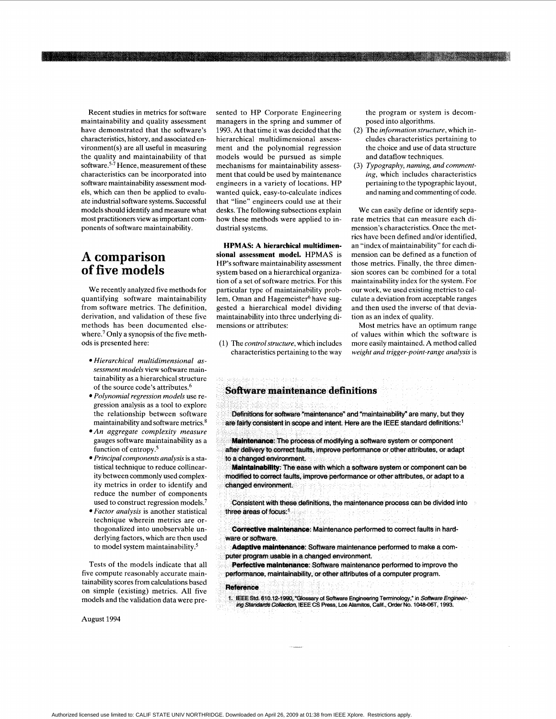Recent studies in metrics for software maintainability and quality assessment have demonstrated that the software's characteristics, history, and associated environment(s) are all useful in measuring the quality and maintainability of that software.<sup>5-7</sup> Hence, measurement of these characteristics can be incorporated into software maintainability assessment models, which can then be applied to evaluate industrial software systems. Successful models should identify and measure what most practitioners view as important components of software maintainability.

## A comparison **of five models**

We recently analyzed five methods for quantifying software maintainability from software metrics. The definition, derivation, and validation of these five methods has been documented elsewhere.7 Only a synopsis of the five methods is presented here:

- *Hierarchical multidimensional assessment models* view software maintainability as a hierarchical structure of the source code's attributes.<sup>6</sup>
- *Polynomial regression models* use regression analysis as a tool to explore the relationship between software maintainability and software metrics.<sup>8</sup>
- *An aggregate complexity measure*  gauges software maintainability as a function of entropy.<sup>5</sup>
- *Principal components analysis* is a statistical technique to reduce collinearity between commonly used complexity metrics in order to identify and reduce the number of components used to construct regression models.<sup>7</sup>
- *Factor analysis* is another statistical technique wherein metrics are orthogonalized into unobservable underlying factors, which are then used to model system maintainability.<sup>5</sup>

Tests of the models indicate that all five compute reasonably accurate maintainability scores from calculations based on simple (existing) metrics. All five models and the validation data were pre-

August 1994

sented to HP Corporate Engineering managers in the spring and summer of 1993. At that time it was decided that the hierarchical multidimensional assessment and the polynomial regression models would be pursued as simple mechanisms for maintainability assessment that could be used by maintenance engineers in a variety of locations. HP wanted quick, easy-to-calculate indices that "line" engineers could use at their desks. The following subsections explain how these methods were applied to industrial systems.

**HPMAS: A hierarchical multidimensional assessment model.** HPMAS is HP's software maintainability assessment system based on a hierarchical organization of a set of software metrics. For this particular type of maintainability problem, Oman and Hagemeister<sup>6</sup> have suggested a hierarchical model dividing maintainability into three underlying dimensions or attributes:

(1) The *control structure,* which includes characteristics pertaining to the way the program or system is decomposed into algorithms.

- (2) The *information structure,* which includes characteristics pertaining to the choice and use of data structure and dataflow techniques.
- (3) *Typography, naming, and commenting,* which includes characteristics pertaining to the typographic layout, and naming and commenting of code.

We can easily define or identify separate metrics that can measure each dimension's characteristics. Once the metrics have been defined and/or identified. an "index of maintainability" for each dimension can be defined as a function of those metrics. Finally, the three dimension scores can be combined for a total maintainability index for the system. For our work, we used existing metrics to calculate a deviation from acceptable ranges and then used the inverse of that deviation as an index of quality.

Most metrics have an optimum range of values within which the software is more easily maintained. A method called *weight and trigger-point-range analysis* is

#### Software maintenance definitions

Definitions for software "maintenance" and "maintainability" are many, but they are fairly consistent in scope and intent. Here are the IEEE standard definitions:<sup>1</sup>

Maintenance: The process of modifying a software system or component after delivery to correct faults, improve performance or other attributes, or adapt to a changed environment.

Maintainability: The ease with which a software system or component can be modified to correct faults, improve performance or other attributes, or adapt to a changed environment.

Consistent with these definitions, the maintenance process can be divided into three areas of focus:1

Corrective maintenance: Maintenance performed to correct faults in hardware or software.

Adaptive maintenance: Software maintenance performed to make a computer program usable in a changed environment.

Perfective maintenance: Software maintenance performed to improve the performance, maintainability, or other attributes of a computer program.

Reference

1. IEEE Std. 610.12-1990, "Glossary of Software Engineering Terminology," in Software Engineering Standards Collection, IEEE CS Press, Los Alamitos, Calif., Order No. 1048-06T, 1993.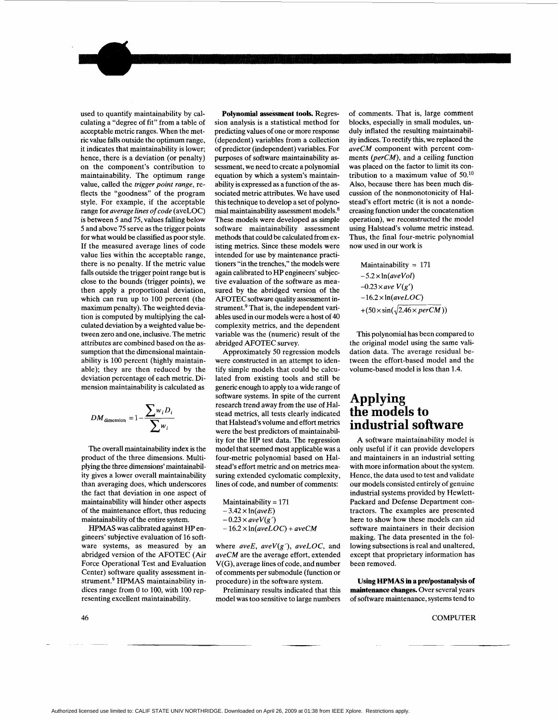used to quantify maintainability by calculating a "degree of fit" from a table of acceptable metric ranges. When the metric value falls outside the optimum range, it indicates that maintainability is lower; hence, there is a deviation (or penalty) on the component's contribution to maintainability. The optimum range value, called the *trigger point range,* reflects the "goodness" of the program style. For example, if the acceptable range for *average lines of code* (aveLOC) is between 5 and 75, values falling below 5 and above 75 serve as the trigger points for what would be classified as poor style. If the measured average lines of code value lies within the acceptable range, there is no penalty. If the metric value falls outside the trigger point range but is close to the bounds (trigger points), we then apply a proportional deviation, which can run up to 100 percent (the maximum penalty). The weighted deviation is computed by multiplying the calculated deviation by a weighted value between zero and one, inclusive. The metric attributes are combined based on the assumption that the dimensional maintainability is 100 percent (highly maintainable); they are then reduced by the deviation percentage of each metric. Dimension maintainability is calculated as

$$
DM_{\text{dimension}} = 1 - \frac{\sum w_i D_i}{\sum w_i}
$$

The overall maintainability index is the product of the three dimensions. Multiplying the three dimensions' maintainability gives a lower overall maintainability than averaging does, which underscores the fact that deviation in one aspect of maintainability will hinder other aspects of the maintenance effort, thus reducing maintainability of the entire system.

HPMAS was calibrated against *HP* engineers' subjective evaluation of 16 software systems, as measured by an abridged version of the AFOTEC (Air Force Operational Test and Evaluation Center) software quality assessment in strument.<sup>9</sup> HPMAS maintainability indices range from 0 to 100, with 100 representing excellent maintainability.

**Polynomial assessment tools.** Regression analysis is a statistical method for predicting values of one or more response (dependent) variables from a collection of predictor (independent) variables. For purposes of software maintainability assessment, we need to create a polynomial equation by which a system's maintainability is expressed as a function of the associated metric attributes. We have used this technique to develop a set of polynomial maintainability assessment models.<sup>8</sup> These models were developed as simple software maintainability assessment methods that could be calculated from existing metrics. Since these models were intended for use by maintenance practitioners "in the trenches," the models were again calibrated to HP engineers' subjective evaluation of the software as measured by the abridged version of the AFOTEC software quality assessment instrument? That is, the independent variables used in our models were a host of 40 complexity metrics, and the dependent variable was the (numeric) result of the abridged AFOTEC survey.

Approximately 50 regression models were constructed in an attempt to identify simple models that could be calculated from existing tools and still be generic enough to apply to a wide range of software systems. In spite of the current research trend away from the use of Halstead metrics, all tests clearly indicated that Halstead's volume and effort metrics were the best predictors of maintainability for the HP test data. The regression model that seemed most applicable was a four-metric polynomial based on Halstead's effort metric and on metrics measuring extended cyclomatic complexity, lines of code. and number of comments:

| Maintainability = 171            |
|----------------------------------|
| $-3.42 \times \ln(aveE)$         |
| $-0.23 \times aveV(g')$          |
| $-16.2\times\ln(aveLOC) + aveCM$ |
|                                  |

Maintainability = 171

where  $aveE$ ,  $aveV(g')$ ,  $aveLOC$ , and aveCM are the average effort, extended V(G), average lines of code, and number of comments per submodule (function or procedure) in the software system.

Preliminary results indicated that this model was too sensitive to large numbers of comments. That is, large comment blocks, especially in small modules, unduly inflated the resulting maintainability **indices.** To rectify this, we replaced the aveCM component with percent comments ( $perCM$ ), and a ceiling function was placed on the factor to limit its contribution to a maximum value of **50.1°**  Also, because there has been much discussion of the nonmonotonicity of Halstead's effort metric (it is not a nondecreasing function under the concatenation operation), we reconstructed the model using Halstead's volume metric instead. Thus, the final four-metric polynomial now used in our work is

Maintainability = 171  $-5.2 \times ln(aveVol)$  $-0.23 \times ave V(g')$  $-16.2 \times ln(aveLOC)$  $+(50 \times \sin(\sqrt{2.46 \times perCM}))$ 

This polynomial has been compared to the original model using the same validation data. The average residual between the effort-based model and the volume-based model is less than 1.4.

## **Applying the models to industrial software**

A software maintainability model is only useful if it can provide developers and maintainers in an industrial setting with more information about the system. Hence, the data used to test and validate our models consisted entirely of genuine industrial systems provided by Hewlett-Packard and Defense Department contractors. The examples are presented here to show how these models can aid software maintainers in their decision making. The data presented in the following subsections is real and unaltered, except that proprietary information has been removed.

**Using HPMAS in a prelpostanalysis of maintenance changes.** Over several years of software maintenance, systems tend to

#### 46 COMPUTER

Authorized licensed use limited to: CALIF STATE UNIV NORTHRIDGE. Downloaded on April 26, 2009 at 01:38 from IEEE Xplore. Restrictions apply.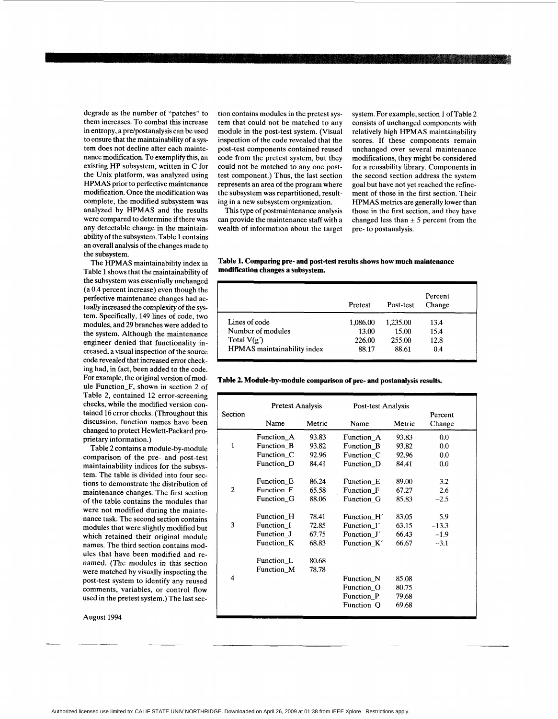degrade as the number of "patches" to them increases. To combat this increase in entropy, a pre/postanalysis can be used to ensure that the maintainability of a system does not decline after each maintenance modification. To exemplify this, an existing HP subsystem, written in C for the Unix platform, was analyzed using HPMAS prior to perfective maintenance modification. Once the modification was complete, the modified subsystem was analyzed by HPMAS and the results were compared to determine if there was any detectable change in the maintainability of the subsystem. Table 1 contains an overall analysis of the changes made to the subsystem.

The HPMAS maintainability index in Table 1 shows that the maintainability of the subsystem was essentially unchanged (a 0.4 percent increase) even though the perfective maintenance changes had actually increased the complexity of the system. Specifically, 149 lines of code, two modules, and 29 branches were added to the system. Although the maintenance engineer denied that functionality increased, a visual inspection of the source code revealed that increased error checking had, in fact, been added to the code. For example, the original version of module Function-F, shown in section 2 of Table 2, contained 12 error-screening checks, while the modified version contained 16 error checks. (Throughout this discussion, function names have been changed to protect Hewlett-Packard proprietary information.)

Table 2 contains a module-by-module comparison of the pre- and post-test maintainability indices for the subsystem. The table is divided into four sections to demonstrate the distribution of maintenance changes. The first section of the table contains the modules that were not modified during the maintenance task. The second section contains modules that were slightly modified but which retained their original module names. The third section contains modules that have been modified and renamed. (The modules in this section were matched by visually inspecting the post-test system to identify any reused comments, variables, or control **flow**  used in the pretest system.) The last sec-

August 1994

tion contains modules in the pretest system that could not be matched to any module in the post-test system. (Visual inspection of the code revealed that the post-test components contained reused code from the pretest system, but they could not be matched to any one posttest component.) Thus, the last section represents an area of the program where the subsystem was repartitioned, resulting in a new subsystem organization.

This type of postmaintenance analysis can provide the maintenance staff with a wealth of information about the target system. For example, section 1 of Table 2 consists of unchanged components with relatively high HPMAS maintainability scores. If these components remain unchanged over several maintenance modifications, they might be considered for a reusability library. Components in the second section address the system goal but have not yet reached the refinement of those in the first section. Their HPMAS metrics are generally lower than those in the first section, and they have changed less than  $\pm$  5 percent from the pre- to postanalysis.

**Table 1. Comparing pre- and post-test results shows how much maintenance modification changes a subsystem.** 

|                             | Pretest  | Post-test | Percent<br>Change |
|-----------------------------|----------|-----------|-------------------|
| Lines of code               | 1,086.00 | 1,235.00  | 13.4              |
| Number of modules           | 13.00    | 15.00     | 15.4              |
| Total $V(g')$               | 226.00   | 255.00    | 12.8              |
| HPMAS maintainability index | 88.17    | 88.61     | 0.4               |

**Table 2. Module-by-module comparison of pre- and postanalysis results.** 

|                | <b>Pretest Analysis</b> |        | Post-test Analysis      |        |                   |
|----------------|-------------------------|--------|-------------------------|--------|-------------------|
| Section        | Name                    | Metric | Name                    | Metric | Percent<br>Change |
|                | Function_A              | 93.83  | Function A              | 93.83  | 0.0               |
| 1              | Function B              | 93.82  | Function B              | 93.82  | 0.0               |
|                | Function C              | 92.96  | Function C              | 92.96  | 0.0               |
|                | Function_D              | 84.41  | Function D              | 84.41  | 0.0               |
|                | Function E              | 86.24  | Function E              | 89.00  | 3.2               |
| $\overline{2}$ | Function F              | 65.58  | Function F              | 67.27  | 2.6               |
|                | Function G              | 88.06  | Function G              | 85.83  | $-2.5$            |
|                | <b>Function H</b>       | 78.41  | Function H'             | 83.05  | 5.9               |
| 3              | Function I              | 72.85  | Function I <sup>-</sup> | 63.15  | $-13.3$           |
|                | Function J              | 67.75  | Function J'             | 66.43  | $-1.9$            |
|                | Function K              | 68.83  | Function K <sup>*</sup> | 66.67  | $-3.1$            |
|                | Function L              | 80.68  |                         |        |                   |
|                | Function M              | 78.78  |                         |        |                   |
| 4              |                         |        | Function N              | 85.08  |                   |
|                |                         |        | Function O              | 80.75  |                   |
|                |                         |        | Function P              | 79.68  |                   |
|                |                         |        | Function Q              | 69.68  |                   |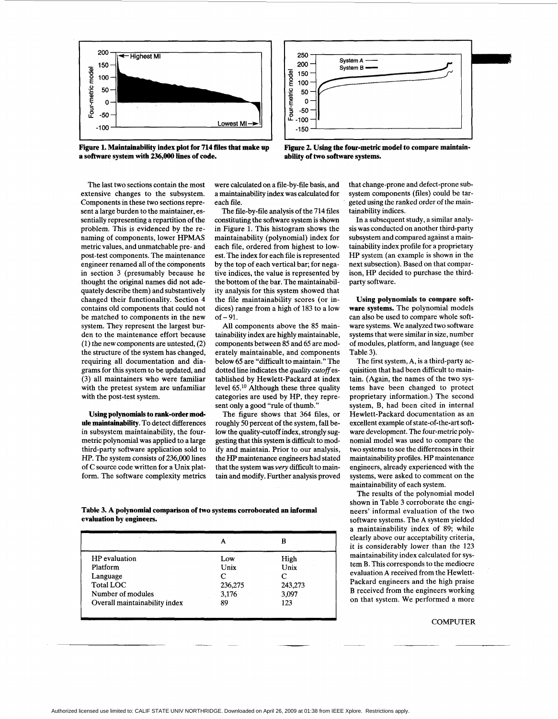

The last two sections contain the most extensive changes to the subsystem. Components in these two sections represent a large burden to the maintainer, essentially representing a repartition of the problem. This is evidenced by the renaming of components, lower HPMAS metric values, and unmatchable pre- and post-test components. The maintenance engineer renamed all of the components in section 3 (presumably because he thought the original names did not adequately describe them) and substantively changed their functionality. Section 4 contains old components that could not be matched to components in the new system. They represent the largest burden to the maintenance effort because (1) the new components are untested, (2) the structure of the system has changed, requiring all documentation and diagrams for this system to be updated, and (3) all maintainers who were familiar with the pretest system are unfamiliar with the post-test system.

**Using polynomials to rank-order mod**ule maintainability. To detect differences in subsystem maintainability, the fourmetric polynomial was applied to a large third-party software application sold to HP. The system consists **of** 236,000 lines of C source code written for a Unix platform. The software complexity metrics were calculated on a file-by-file basis, and a maintainability index was calculated for each file.

有<br>5 *Eo* 

The file-by-file analysis of the 714 files constituting the software system is shown in Figure 1. This histogram shows the maintainability (polynomial) index for each file, ordered from highest to lowest. The index for each file is represented by the top of each vertical bar; for negative indices, the value is represented by the bottom of the bar. The maintainability analysis for this system showed that the file maintainability scores (or indices) range from a high of 183 to a low  $of - 91.$ 

All components above the 85 maintainability index are highly maintainable, components between 85 and 65 are moderately maintainable, and components below 65 are "difficult to maintain." The dotted line indicates the *quality cutoff* established by Hewlett-Packard at index level 65.1° Although these three quality categories are used by HP, they represent only a good "rule of thumb."

The figure shows that 364 files, or roughly 50 percent of the system, fall below the quality-cutoff index, strongly suggesting that this system is difficult to modify and maintain. Prior to our analysis, the *HP* maintenance engineers had stated that the system was *very* difficult to maintain and modify. Further analysis proved that change-prone and defect-prone subsystem components (files) could be targeted using the ranked order of the maintainability indices.

-

In a subsequent study, a similar analysis was conducted on another third-party subsystem and compared against a maintainability index profile for a proprietary HP system (an example is shown in the next subsection). Based on that comparison, HP decided to purchase the thirdparty software.

**Using polynomials to compare software systems.** The polynomial models can also be used to compare whole software systems. We analyzed two software systems that were similar in size, number of modules, platform, and language (see Table 3).

The first system, **A,** is a third-party acquisition that had been difficult to maintain. (Again, the names of the two systems have been changed to protect proprietary information.) The second system, B, had been cited in internal Hewlett-Packard documentation as an excellent example of state-of-the-art software development. The four-metric polynomial model was used to compare the two systems to see the differences in their maintainability profiles. HP maintenance engineers, already experienced with the systems, were asked to comment on the maintainability of each system.

The results of the polynomial model shown in Table 3 corroborate the engineers' informal evaluation of the two software systems. The **A** system yielded a maintainability index of 89; while clearly above our acceptability criteria, it is considerably lower than the 123 maintainability index calculated for system **B.** This corresponds to the mediocre evaluation **A** received from the Hewlett-Packard engineers and the high praise **B** received from the engineers working on that system. We performed a more

#### **COMPUTER**

**Table 3. A polynomial comparison of two systems corroborated an informal evaluation by engineers.** 

|                               | А       | в       |
|-------------------------------|---------|---------|
| HP evaluation                 | Low     | High    |
| Platform                      | Unix    | Unix    |
| Language                      | C       | С       |
| <b>Total LOC</b>              | 236,275 | 243,273 |
| Number of modules             | 3,176   | 3,097   |
| Overall maintainability index | 89      | 123     |

250<br>200 - System A ----<br> $\frac{200}{9}$  150 -